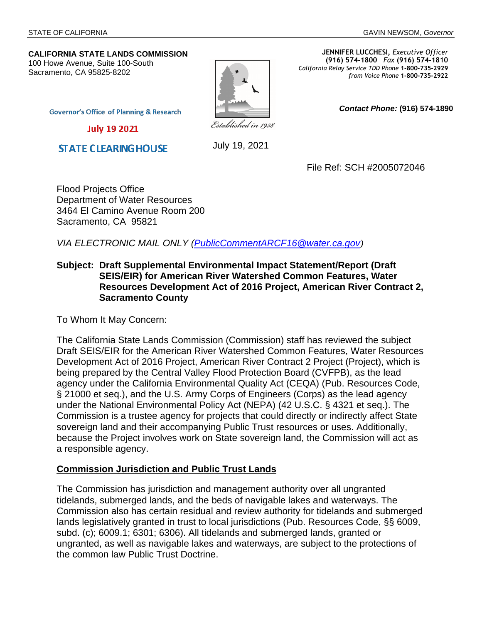*Contact Phone:* **(916) 574-1890** 

#### **CALIFORNIA STATE LANDS COMMISSION** 100 Howe Avenue, Suite 100-South Sacramento, CA 95825-8202



**JENNIFER LUCCHESI,** *Executive Officer* **(916) 574-1800** *Fax* **(916) 574-1810**  *California Relay Service TDD Phone* **1-800-735-2929** *from Voice Phone* **1-800-735-2922** 

**Governor's Office of Planning & Research** 

**July 19 2021** 

**STATE CLEARING HOUSE** 

July 19, 2021

File Ref: SCH #2005072046

Flood Projects Office Department of Water Resources 3464 El Camino Avenue Room 200 Sacramento, CA 95821

*VIA ELECTRONIC MAIL ONLY ([PublicCommentARCF16@water.ca.gov](mailto:PublicCommentARCF16@water.ca.gov))*

## **Subject: Draft Supplemental Environmental Impact Statement/Report (Draft SEIS/EIR) for American River Watershed Common Features, Water Resources Development Act of 2016 Project, American River Contract 2, Sacramento County**

To Whom It May Concern:

The California State Lands Commission (Commission) staff has reviewed the subject Draft SEIS/EIR for the American River Watershed Common Features, Water Resources Development Act of 2016 Project, American River Contract 2 Project (Project), which is being prepared by the Central Valley Flood Protection Board (CVFPB), as the lead agency under the California Environmental Quality Act (CEQA) (Pub. Resources Code, § 21000 et seq.), and the U.S. Army Corps of Engineers (Corps) as the lead agency under the National Environmental Policy Act (NEPA) (42 U.S.C. § 4321 et seq.). The Commission is a trustee agency for projects that could directly or indirectly affect State sovereign land and their accompanying Public Trust resources or uses. Additionally, because the Project involves work on State sovereign land, the Commission will act as a responsible agency.

## **Commission Jurisdiction and Public Trust Lands**

The Commission has jurisdiction and management authority over all ungranted tidelands, submerged lands, and the beds of navigable lakes and waterways. The Commission also has certain residual and review authority for tidelands and submerged lands legislatively granted in trust to local jurisdictions (Pub. Resources Code, §§ 6009, subd. (c); 6009.1; 6301; 6306). All tidelands and submerged lands, granted or ungranted, as well as navigable lakes and waterways, are subject to the protections of the common law Public Trust Doctrine.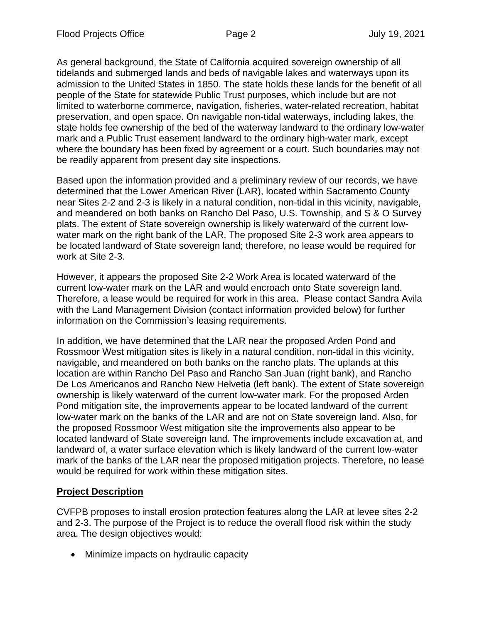As general background, the State of California acquired sovereign ownership of all tidelands and submerged lands and beds of navigable lakes and waterways upon its admission to the United States in 1850. The state holds these lands for the benefit of all people of the State for statewide Public Trust purposes, which include but are not limited to waterborne commerce, navigation, fisheries, water-related recreation, habitat preservation, and open space. On navigable non-tidal waterways, including lakes, the state holds fee ownership of the bed of the waterway landward to the ordinary low-water mark and a Public Trust easement landward to the ordinary high-water mark, except where the boundary has been fixed by agreement or a court. Such boundaries may not be readily apparent from present day site inspections.

Based upon the information provided and a preliminary review of our records, we have determined that the Lower American River (LAR), located within Sacramento County near Sites 2-2 and 2-3 is likely in a natural condition, non-tidal in this vicinity, navigable, and meandered on both banks on Rancho Del Paso, U.S. Township, and S & O Survey plats. The extent of State sovereign ownership is likely waterward of the current lowwater mark on the right bank of the LAR. The proposed Site 2-3 work area appears to be located landward of State sovereign land; therefore, no lease would be required for work at Site 2-3.

However, it appears the proposed Site 2-2 Work Area is located waterward of the current low-water mark on the LAR and would encroach onto State sovereign land. Therefore, a lease would be required for work in this area. Please contact Sandra Avila with the Land Management Division (contact information provided below) for further information on the Commission's leasing requirements.

In addition, we have determined that the LAR near the proposed Arden Pond and Rossmoor West mitigation sites is likely in a natural condition, non-tidal in this vicinity, navigable, and meandered on both banks on the rancho plats. The uplands at this location are within Rancho Del Paso and Rancho San Juan (right bank), and Rancho De Los Americanos and Rancho New Helvetia (left bank). The extent of State sovereign ownership is likely waterward of the current low-water mark. For the proposed Arden Pond mitigation site, the improvements appear to be located landward of the current low-water mark on the banks of the LAR and are not on State sovereign land. Also, for the proposed Rossmoor West mitigation site the improvements also appear to be located landward of State sovereign land. The improvements include excavation at, and landward of, a water surface elevation which is likely landward of the current low-water mark of the banks of the LAR near the proposed mitigation projects. Therefore, no lease would be required for work within these mitigation sites.

# **Project Description**

CVFPB proposes to install erosion protection features along the LAR at levee sites 2-2 and 2-3. The purpose of the Project is to reduce the overall flood risk within the study area. The design objectives would:

• Minimize impacts on hydraulic capacity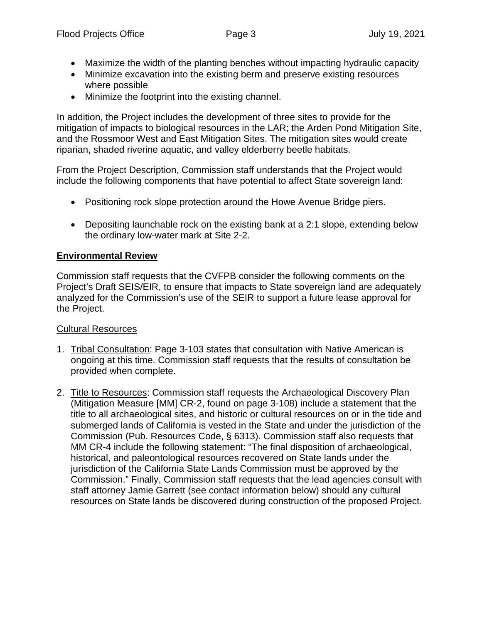- Maximize the width of the planting benches without impacting hydraulic capacity
- Minimize excavation into the existing berm and preserve existing resources where possible
- Minimize the footprint into the existing channel.

In addition, the Project includes the development of three sites to provide for the mitigation of impacts to biological resources in the LAR; the Arden Pond Mitigation Site, and the Rossmoor West and East Mitigation Sites. The mitigation sites would create riparian, shaded riverine aquatic, and valley elderberry beetle habitats.

From the Project Description, Commission staff understands that the Project would include the following components that have potential to affect State sovereign land:

- Positioning rock slope protection around the Howe Avenue Bridge piers.
- Depositing launchable rock on the existing bank at a 2:1 slope, extending below the ordinary low-water mark at Site 2-2.

# **Environmental Review**

Commission staff requests that the CVFPB consider the following comments on the Project's Draft SEIS/EIR, to ensure that impacts to State sovereign land are adequately analyzed for the Commission's use of the SEIR to support a future lease approval for the Project.

# Cultural Resources

- 1. Tribal Consultation: Page 3-103 states that consultation with Native American is ongoing at this time. Commission staff requests that the results of consultation be provided when complete.
- 2. Title to Resources: Commission staff requests the Archaeological Discovery Plan (Mitigation Measure [MM] CR-2, found on page 3-108) include a statement that the title to all archaeological sites, and historic or cultural resources on or in the tide and submerged lands of California is vested in the State and under the jurisdiction of the Commission (Pub. Resources Code, § 6313). Commission staff also requests that MM CR-4 include the following statement: "The final disposition of archaeological, historical, and paleontological resources recovered on State lands under the jurisdiction of the California State Lands Commission must be approved by the Commission." Finally, Commission staff requests that the lead agencies consult with staff attorney Jamie Garrett (see contact information below) should any cultural resources on State lands be discovered during construction of the proposed Project.